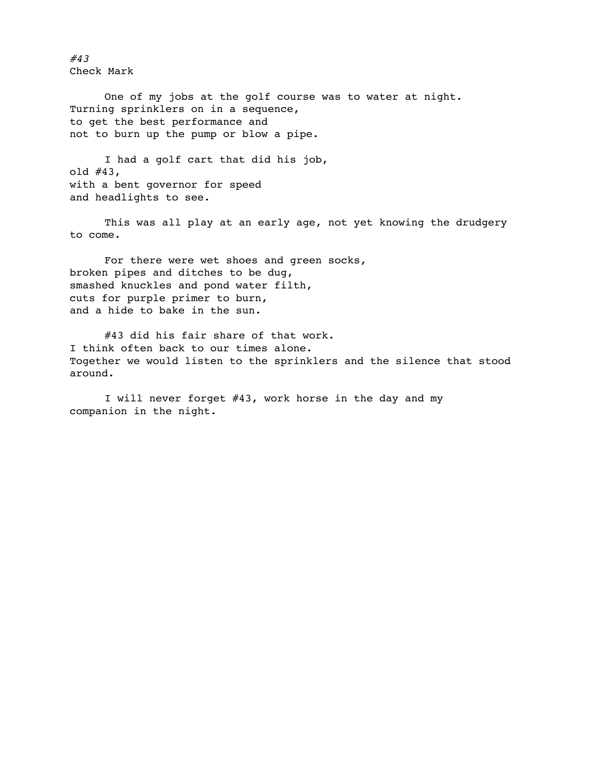*#43* Check Mark

One of my jobs at the golf course was to water at night. Turning sprinklers on in a sequence, to get the best performance and not to burn up the pump or blow a pipe.

I had a golf cart that did his job, old #43, with a bent governor for speed and headlights to see.

This was all play at an early age, not yet knowing the drudgery to come.

For there were wet shoes and green socks, broken pipes and ditches to be dug, smashed knuckles and pond water filth, cuts for purple primer to burn, and a hide to bake in the sun.

#43 did his fair share of that work. I think often back to our times alone. Together we would listen to the sprinklers and the silence that stood around.

I will never forget #43, work horse in the day and my companion in the night.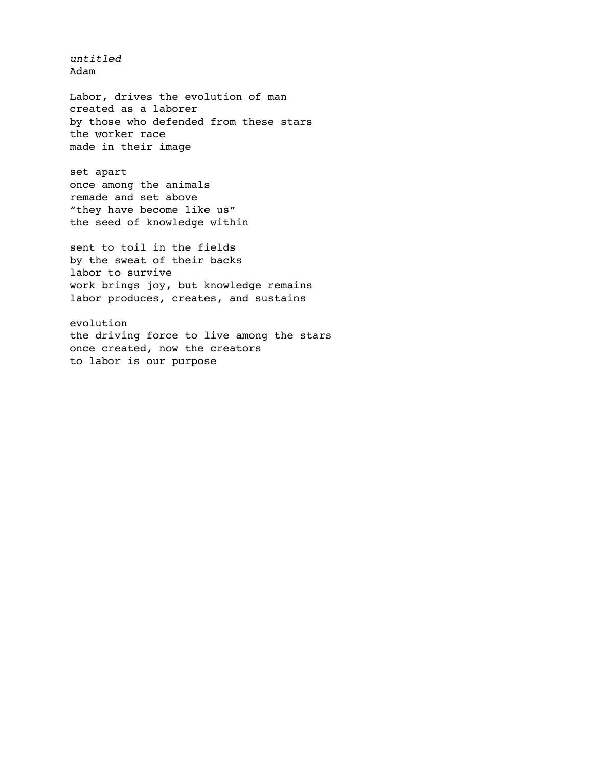Labor, drives the evolution of man created as a laborer by those who defended from these stars the worker race made in their image

set apart once among the animals remade and set above "they have become like us" the seed of knowledge within

*untitled* Adam

sent to toil in the fields by the sweat of their backs labor to survive work brings joy, but knowledge remains labor produces, creates, and sustains

evolution the driving force to live among the stars once created, now the creators to labor is our purpose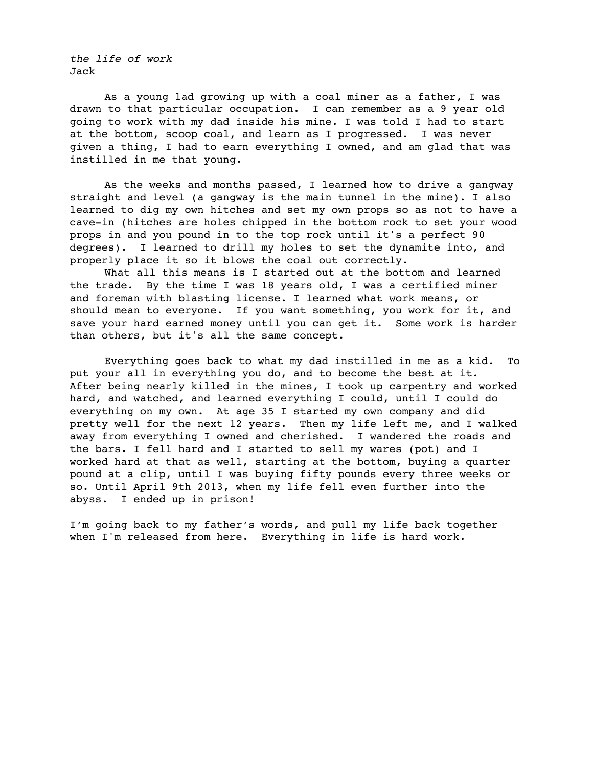*the life of work* Jack

As a young lad growing up with a coal miner as a father, I was drawn to that particular occupation. I can remember as a 9 year old going to work with my dad inside his mine. I was told I had to start at the bottom, scoop coal, and learn as I progressed. I was never given a thing, I had to earn everything I owned, and am glad that was instilled in me that young.

As the weeks and months passed, I learned how to drive a gangway straight and level (a gangway is the main tunnel in the mine). I also learned to dig my own hitches and set my own props so as not to have a cave-in (hitches are holes chipped in the bottom rock to set your wood props in and you pound in to the top rock until it's a perfect 90 degrees). I learned to drill my holes to set the dynamite into, and properly place it so it blows the coal out correctly.

What all this means is I started out at the bottom and learned the trade. By the time I was 18 years old, I was a certified miner and foreman with blasting license. I learned what work means, or should mean to everyone. If you want something, you work for it, and save your hard earned money until you can get it. Some work is harder than others, but it's all the same concept.

Everything goes back to what my dad instilled in me as a kid. To put your all in everything you do, and to become the best at it. After being nearly killed in the mines, I took up carpentry and worked hard, and watched, and learned everything I could, until I could do everything on my own. At age 35 I started my own company and did pretty well for the next 12 years. Then my life left me, and I walked away from everything I owned and cherished. I wandered the roads and the bars. I fell hard and I started to sell my wares (pot) and I worked hard at that as well, starting at the bottom, buying a quarter pound at a clip, until I was buying fifty pounds every three weeks or so. Until April 9th 2013, when my life fell even further into the abyss. I ended up in prison!

I'm going back to my father's words, and pull my life back together when I'm released from here. Everything in life is hard work.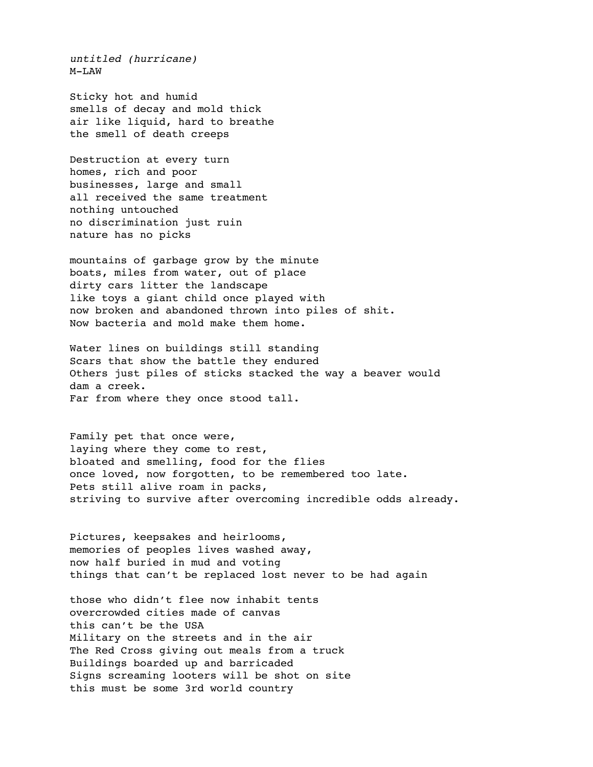*untitled (hurricane)* M-LAW

Sticky hot and humid smells of decay and mold thick air like liquid, hard to breathe the smell of death creeps

Destruction at every turn homes, rich and poor businesses, large and small all received the same treatment nothing untouched no discrimination just ruin nature has no picks

mountains of garbage grow by the minute boats, miles from water, out of place dirty cars litter the landscape like toys a giant child once played with now broken and abandoned thrown into piles of shit. Now bacteria and mold make them home.

Water lines on buildings still standing Scars that show the battle they endured Others just piles of sticks stacked the way a beaver would dam a creek. Far from where they once stood tall.

Family pet that once were, laying where they come to rest, bloated and smelling, food for the flies once loved, now forgotten, to be remembered too late. Pets still alive roam in packs, striving to survive after overcoming incredible odds already.

Pictures, keepsakes and heirlooms, memories of peoples lives washed away, now half buried in mud and voting things that can't be replaced lost never to be had again

those who didn't flee now inhabit tents overcrowded cities made of canvas this can't be the USA Military on the streets and in the air The Red Cross giving out meals from a truck Buildings boarded up and barricaded Signs screaming looters will be shot on site this must be some 3rd world country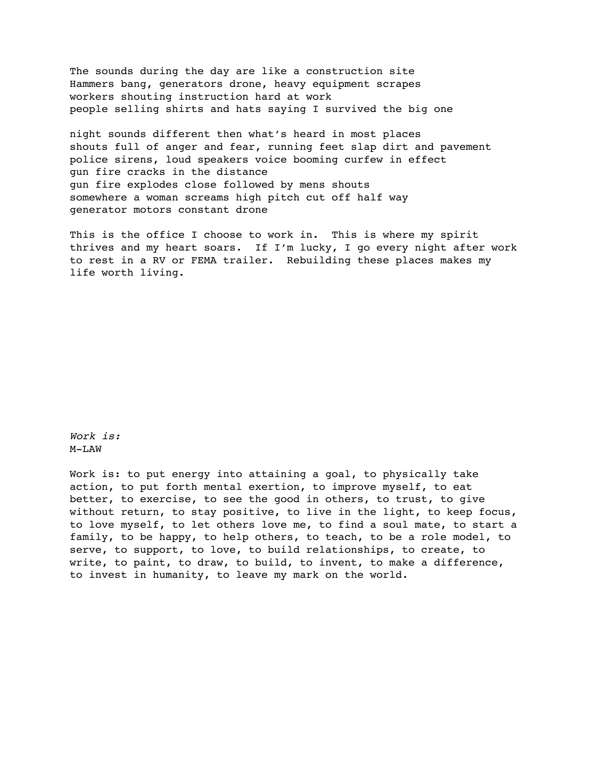The sounds during the day are like a construction site Hammers bang, generators drone, heavy equipment scrapes workers shouting instruction hard at work people selling shirts and hats saying I survived the big one

night sounds different then what's heard in most places shouts full of anger and fear, running feet slap dirt and pavement police sirens, loud speakers voice booming curfew in effect gun fire cracks in the distance gun fire explodes close followed by mens shouts somewhere a woman screams high pitch cut off half way generator motors constant drone

This is the office I choose to work in. This is where my spirit thrives and my heart soars. If I'm lucky, I go every night after work to rest in a RV or FEMA trailer. Rebuilding these places makes my life worth living.

*Work is:* M-LAW

Work is: to put energy into attaining a goal, to physically take action, to put forth mental exertion, to improve myself, to eat better, to exercise, to see the good in others, to trust, to give without return, to stay positive, to live in the light, to keep focus, to love myself, to let others love me, to find a soul mate, to start a family, to be happy, to help others, to teach, to be a role model, to serve, to support, to love, to build relationships, to create, to write, to paint, to draw, to build, to invent, to make a difference, to invest in humanity, to leave my mark on the world.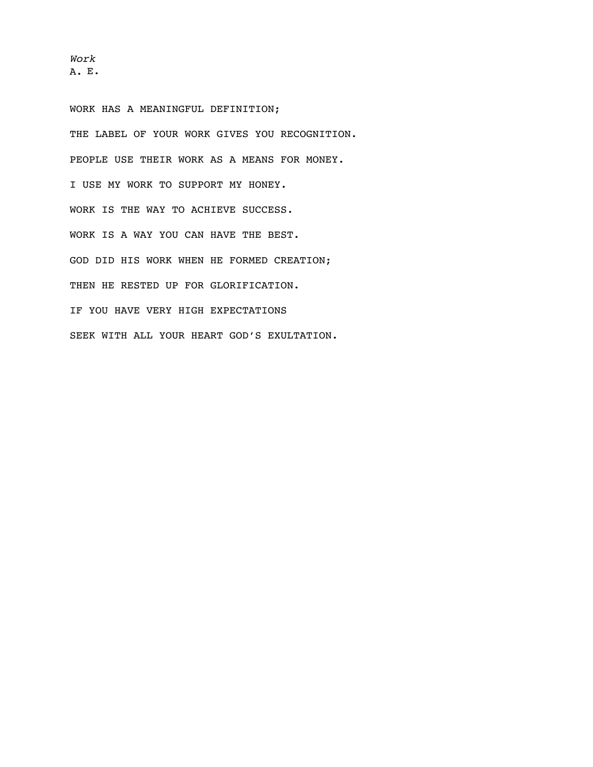*Work* A. E.

WORK HAS A MEANINGFUL DEFINITION; THE LABEL OF YOUR WORK GIVES YOU RECOGNITION. PEOPLE USE THEIR WORK AS A MEANS FOR MONEY. I USE MY WORK TO SUPPORT MY HONEY. WORK IS THE WAY TO ACHIEVE SUCCESS. WORK IS A WAY YOU CAN HAVE THE BEST. GOD DID HIS WORK WHEN HE FORMED CREATION; THEN HE RESTED UP FOR GLORIFICATION. IF YOU HAVE VERY HIGH EXPECTATIONS SEEK WITH ALL YOUR HEART GOD'S EXULTATION.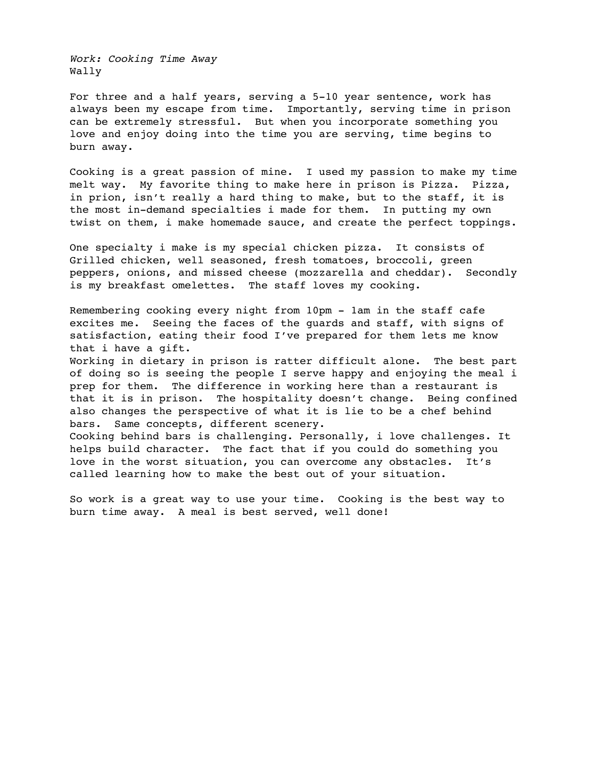*Work: Cooking Time Away* Wally

For three and a half years, serving a 5-10 year sentence, work has always been my escape from time. Importantly, serving time in prison can be extremely stressful. But when you incorporate something you love and enjoy doing into the time you are serving, time begins to burn away.

Cooking is a great passion of mine. I used my passion to make my time melt way. My favorite thing to make here in prison is Pizza. Pizza, in prion, isn't really a hard thing to make, but to the staff, it is the most in-demand specialties i made for them. In putting my own twist on them, i make homemade sauce, and create the perfect toppings.

One specialty i make is my special chicken pizza. It consists of Grilled chicken, well seasoned, fresh tomatoes, broccoli, green peppers, onions, and missed cheese (mozzarella and cheddar). Secondly is my breakfast omelettes. The staff loves my cooking.

Remembering cooking every night from 10pm - 1am in the staff cafe excites me. Seeing the faces of the guards and staff, with signs of satisfaction, eating their food I've prepared for them lets me know that i have a gift.

Working in dietary in prison is ratter difficult alone. The best part of doing so is seeing the people I serve happy and enjoying the meal i prep for them. The difference in working here than a restaurant is that it is in prison. The hospitality doesn't change. Being confined also changes the perspective of what it is lie to be a chef behind bars. Same concepts, different scenery.

Cooking behind bars is challenging. Personally, i love challenges. It helps build character. The fact that if you could do something you love in the worst situation, you can overcome any obstacles. It's called learning how to make the best out of your situation.

So work is a great way to use your time. Cooking is the best way to burn time away. A meal is best served, well done!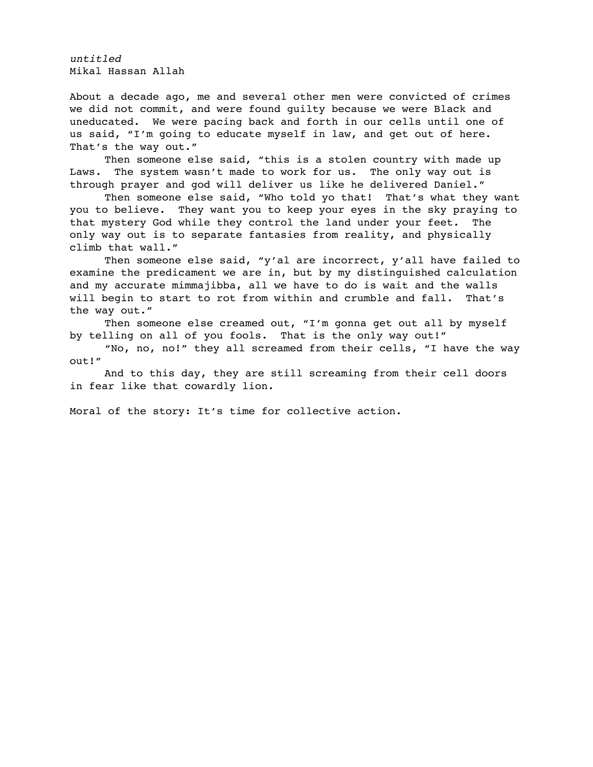*untitled* Mikal Hassan Allah

About a decade ago, me and several other men were convicted of crimes we did not commit, and were found guilty because we were Black and uneducated. We were pacing back and forth in our cells until one of us said, "I'm going to educate myself in law, and get out of here. That's the way out."

Then someone else said, "this is a stolen country with made up Laws. The system wasn't made to work for us. The only way out is through prayer and god will deliver us like he delivered Daniel."

Then someone else said, "Who told yo that! That's what they want you to believe. They want you to keep your eyes in the sky praying to that mystery God while they control the land under your feet. The only way out is to separate fantasies from reality, and physically climb that wall."

Then someone else said, "y'al are incorrect, y'all have failed to examine the predicament we are in, but by my distinguished calculation and my accurate mimmajibba, all we have to do is wait and the walls will begin to start to rot from within and crumble and fall. That's the way out."

Then someone else creamed out, "I'm gonna get out all by myself by telling on all of you fools. That is the only way out!"

"No, no, no!" they all screamed from their cells, "I have the way out!"

And to this day, they are still screaming from their cell doors in fear like that cowardly lion.

Moral of the story: It's time for collective action.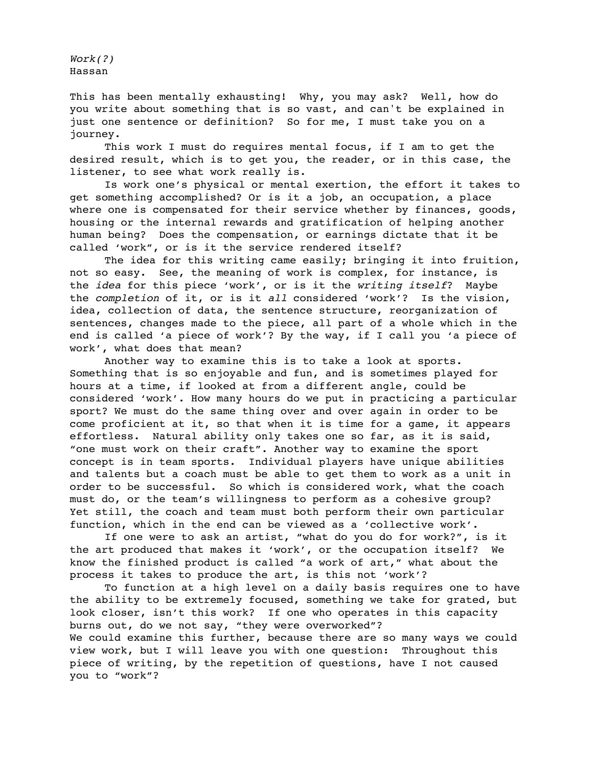*Work(?)* Hassan

This has been mentally exhausting! Why, you may ask? Well, how do you write about something that is so vast, and can't be explained in just one sentence or definition? So for me, I must take you on a journey.

This work I must do requires mental focus, if I am to get the desired result, which is to get you, the reader, or in this case, the listener, to see what work really is.

Is work one's physical or mental exertion, the effort it takes to get something accomplished? Or is it a job, an occupation, a place where one is compensated for their service whether by finances, goods, housing or the internal rewards and gratification of helping another human being? Does the compensation, or earnings dictate that it be called 'work", or is it the service rendered itself?

The idea for this writing came easily; bringing it into fruition, not so easy. See, the meaning of work is complex, for instance, is the *idea* for this piece 'work', or is it the *writing itself*? Maybe the *completion* of it, or is it *all* considered 'work'? Is the vision, idea, collection of data, the sentence structure, reorganization of sentences, changes made to the piece, all part of a whole which in the end is called 'a piece of work'? By the way, if I call you 'a piece of work', what does that mean?

Another way to examine this is to take a look at sports. Something that is so enjoyable and fun, and is sometimes played for hours at a time, if looked at from a different angle, could be considered 'work'. How many hours do we put in practicing a particular sport? We must do the same thing over and over again in order to be come proficient at it, so that when it is time for a game, it appears effortless. Natural ability only takes one so far, as it is said, "one must work on their craft". Another way to examine the sport concept is in team sports. Individual players have unique abilities and talents but a coach must be able to get them to work as a unit in order to be successful. So which is considered work, what the coach must do, or the team's willingness to perform as a cohesive group? Yet still, the coach and team must both perform their own particular function, which in the end can be viewed as a 'collective work'.

If one were to ask an artist, "what do you do for work?", is it the art produced that makes it 'work', or the occupation itself? We know the finished product is called "a work of art," what about the process it takes to produce the art, is this not 'work'?

To function at a high level on a daily basis requires one to have the ability to be extremely focused, something we take for grated, but look closer, isn't this work? If one who operates in this capacity burns out, do we not say, "they were overworked"? We could examine this further, because there are so many ways we could view work, but I will leave you with one question: Throughout this piece of writing, by the repetition of questions, have I not caused you to "work"?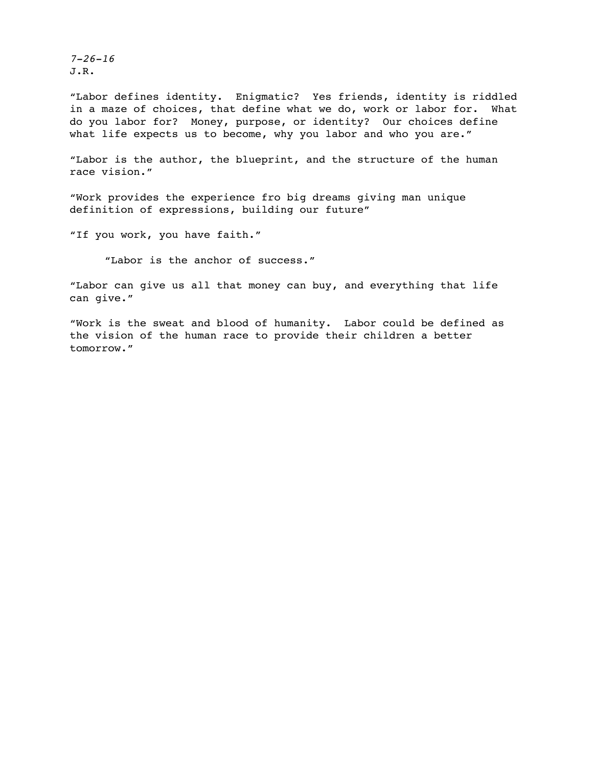*7-26-16* J.R.

"Labor defines identity. Enigmatic? Yes friends, identity is riddled in a maze of choices, that define what we do, work or labor for. What do you labor for? Money, purpose, or identity? Our choices define what life expects us to become, why you labor and who you are."

"Labor is the author, the blueprint, and the structure of the human race vision."

"Work provides the experience fro big dreams giving man unique definition of expressions, building our future"

"If you work, you have faith."

"Labor is the anchor of success."

"Labor can give us all that money can buy, and everything that life can give."

"Work is the sweat and blood of humanity. Labor could be defined as the vision of the human race to provide their children a better tomorrow."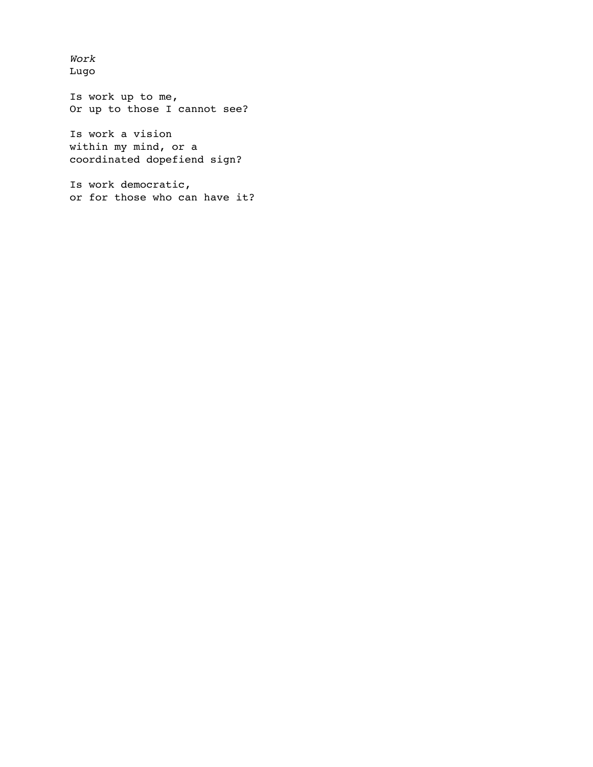*Work* Lugo

Is work up to me, Or up to those I cannot see?

Is work a vision within my mind, or a coordinated dopefiend sign?

Is work democratic, or for those who can have it?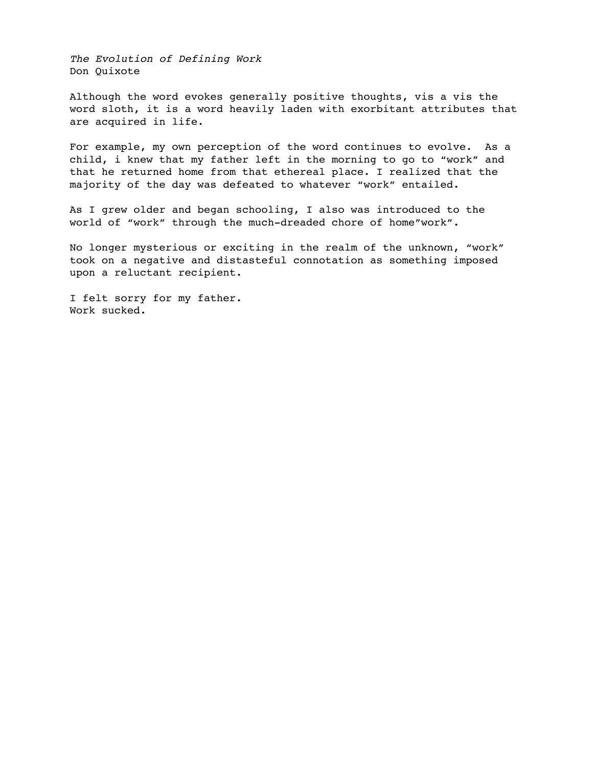*The Evolution of Defining Work* Don Quixote

Although the word evokes generally positive thoughts, vis a vis the word sloth, it is a word heavily laden with exorbitant attributes that are acquired in life.

For example, my own perception of the word continues to evolve. As a child, i knew that my father left in the morning to go to "work" and that he returned home from that ethereal place. I realized that the majority of the day was defeated to whatever "work" entailed.

As I grew older and began schooling, I also was introduced to the world of "work" through the much-dreaded chore of home"work".

No longer mysterious or exciting in the realm of the unknown, "work" took on a negative and distasteful connotation as something imposed upon a reluctant recipient.

I felt sorry for my father. Work sucked.